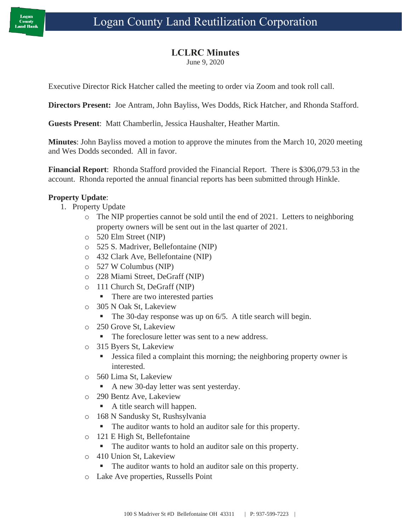## **LCLRC Minutes**

June 9, 2020

Executive Director Rick Hatcher called the meeting to order via Zoom and took roll call.

**Directors Present:** Joe Antram, John Bayliss, Wes Dodds, Rick Hatcher, and Rhonda Stafford.

**Guests Present**: Matt Chamberlin, Jessica Haushalter, Heather Martin.

**Minutes**: John Bayliss moved a motion to approve the minutes from the March 10, 2020 meeting and Wes Dodds seconded. All in favor.

**Financial Report**: Rhonda Stafford provided the Financial Report. There is \$306,079.53 in the account. Rhonda reported the annual financial reports has been submitted through Hinkle.

## **Property Update**:

- 1. Property Update
	- $\circ$  The NIP properties cannot be sold until the end of 2021. Letters to neighboring property owners will be sent out in the last quarter of 2021.
	- o 520 Elm Street (NIP)
	- o 525 S. Madriver, Bellefontaine (NIP)
	- o 432 Clark Ave, Bellefontaine (NIP)
	- o 527 W Columbus (NIP)
	- o 228 Miami Street, DeGraff (NIP)
	- o 111 Church St, DeGraff (NIP)
		- There are two interested parties
	- o 305 N Oak St, Lakeview
		- The 30-day response was up on 6/5. A title search will begin.
	- o 250 Grove St, Lakeview
		- The foreclosure letter was sent to a new address.
	- o 315 Byers St, Lakeview
		- Jessica filed a complaint this morning; the neighboring property owner is interested.
	- o 560 Lima St, Lakeview
		- A new 30-day letter was sent yesterday.
	- o 290 Bentz Ave, Lakeview
		- A title search will happen.
	- o 168 N Sandusky St, Rushsylvania
		- The auditor wants to hold an auditor sale for this property.
	- o 121 E High St, Bellefontaine
		- The auditor wants to hold an auditor sale on this property.
	- o 410 Union St, Lakeview
		- The auditor wants to hold an auditor sale on this property.
	- o Lake Ave properties, Russells Point